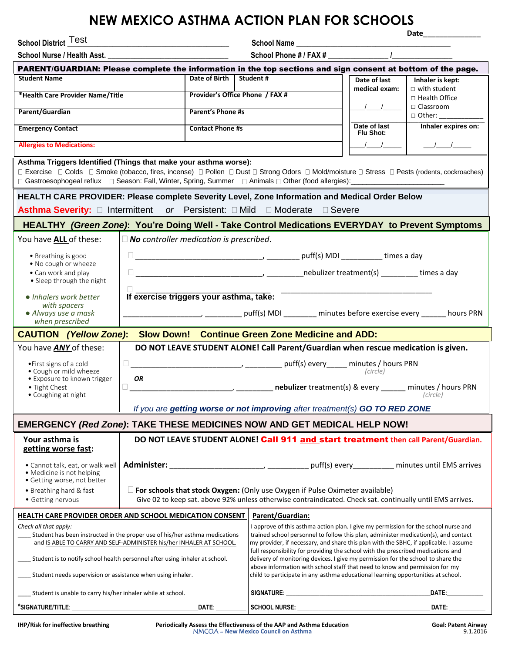## **NEW MEXICO ASTHMA ACTION PLAN FOR SCHOOLS**

School District Test

**School District** \_\_\_\_\_\_\_\_\_\_\_\_\_\_\_\_\_\_\_\_\_\_\_\_\_\_\_\_\_\_\_\_\_\_\_\_\_\_\_\_\_\_\_ **School Name** \_\_\_\_\_\_\_\_\_\_\_\_\_\_\_\_\_\_\_\_\_\_\_\_\_\_\_\_\_\_\_\_\_\_\_\_\_\_\_\_\_

School Nurse / Health Asst. **2008 School Phone # / FAX #**  $\blacksquare$  /

**Date**\_\_\_\_\_\_\_\_\_\_\_\_\_\_

| PARENT/GUARDIAN: Please complete the information in the top sections and sign consent at bottom of the page.                                                                                                                                                                                                            |                                                                                                                                   |                           |                                                                                                                                                                      |                                  |                                                                                                                                                                                                                               |  |
|-------------------------------------------------------------------------------------------------------------------------------------------------------------------------------------------------------------------------------------------------------------------------------------------------------------------------|-----------------------------------------------------------------------------------------------------------------------------------|---------------------------|----------------------------------------------------------------------------------------------------------------------------------------------------------------------|----------------------------------|-------------------------------------------------------------------------------------------------------------------------------------------------------------------------------------------------------------------------------|--|
| <b>Student Name</b>                                                                                                                                                                                                                                                                                                     |                                                                                                                                   | Date of Birth   Student # |                                                                                                                                                                      | Date of last                     | Inhaler is kept:                                                                                                                                                                                                              |  |
| *Health Care Provider Name/Title                                                                                                                                                                                                                                                                                        |                                                                                                                                   |                           | Provider's Office Phone / FAX #                                                                                                                                      | medical exam:                    | $\Box$ with student<br>$\Box$ Health Office                                                                                                                                                                                   |  |
| Parent/Guardian                                                                                                                                                                                                                                                                                                         |                                                                                                                                   | <b>Parent's Phone #s</b>  |                                                                                                                                                                      |                                  | $\Box$ Classroom                                                                                                                                                                                                              |  |
|                                                                                                                                                                                                                                                                                                                         |                                                                                                                                   |                           |                                                                                                                                                                      | Date of last                     | $\Box$ Other:<br>Inhaler expires on:                                                                                                                                                                                          |  |
| <b>Emergency Contact</b>                                                                                                                                                                                                                                                                                                |                                                                                                                                   | <b>Contact Phone #s</b>   |                                                                                                                                                                      | Flu Shot:                        |                                                                                                                                                                                                                               |  |
| <b>Allergies to Medications:</b>                                                                                                                                                                                                                                                                                        |                                                                                                                                   |                           |                                                                                                                                                                      | $\frac{1}{\sqrt{1-\frac{1}{2}}}$ | $\frac{1}{1}$                                                                                                                                                                                                                 |  |
| Asthma Triggers Identified (Things that make your asthma worse):<br>□ Exercise □ Colds □ Smoke (tobacco, fires, incense) □ Pollen □ Dust □ Strong Odors □ Mold/moisture □ Stress □ Pests (rodents, cockroaches)<br>□ Gastroesophogeal reflux □ Season: Fall, Winter, Spring, Summer □ Animals □ Other (food allergies): |                                                                                                                                   |                           |                                                                                                                                                                      |                                  |                                                                                                                                                                                                                               |  |
| HEALTH CARE PROVIDER: Please complete Severity Level, Zone Information and Medical Order Below                                                                                                                                                                                                                          |                                                                                                                                   |                           |                                                                                                                                                                      |                                  |                                                                                                                                                                                                                               |  |
| <b>Asthma Severity:</b> □ Intermittent or Persistent: □ Mild □ Moderate □ Severe                                                                                                                                                                                                                                        |                                                                                                                                   |                           |                                                                                                                                                                      |                                  |                                                                                                                                                                                                                               |  |
| HEALTHY (Green Zone): You're Doing Well - Take Control Medications EVERYDAY to Prevent Symptoms                                                                                                                                                                                                                         |                                                                                                                                   |                           |                                                                                                                                                                      |                                  |                                                                                                                                                                                                                               |  |
| $\Box$ No controller medication is prescribed.<br>You have ALL of these:                                                                                                                                                                                                                                                |                                                                                                                                   |                           |                                                                                                                                                                      |                                  |                                                                                                                                                                                                                               |  |
| • Breathing is good                                                                                                                                                                                                                                                                                                     |                                                                                                                                   |                           |                                                                                                                                                                      |                                  |                                                                                                                                                                                                                               |  |
| . No cough or wheeze                                                                                                                                                                                                                                                                                                    |                                                                                                                                   |                           |                                                                                                                                                                      |                                  |                                                                                                                                                                                                                               |  |
| • Can work and play<br>• Sleep through the night                                                                                                                                                                                                                                                                        |                                                                                                                                   |                           |                                                                                                                                                                      |                                  |                                                                                                                                                                                                                               |  |
| • Inhalers work better                                                                                                                                                                                                                                                                                                  | If exercise triggers your asthma, take:                                                                                           |                           |                                                                                                                                                                      |                                  |                                                                                                                                                                                                                               |  |
| • Always use a mask                                                                                                                                                                                                                                                                                                     | with spacers<br>___________________________________puff(s) MDI __________ minutes before exercise every _________ hours PRN       |                           |                                                                                                                                                                      |                                  |                                                                                                                                                                                                                               |  |
| when prescribed                                                                                                                                                                                                                                                                                                         |                                                                                                                                   |                           |                                                                                                                                                                      |                                  |                                                                                                                                                                                                                               |  |
| Slow Down! Continue Green Zone Medicine and ADD:<br><b>CAUTION</b> (Yellow Zone):                                                                                                                                                                                                                                       |                                                                                                                                   |                           |                                                                                                                                                                      |                                  |                                                                                                                                                                                                                               |  |
| You have ANY of these:<br>DO NOT LEAVE STUDENT ALONE! Call Parent/Guardian when rescue medication is given.                                                                                                                                                                                                             |                                                                                                                                   |                           |                                                                                                                                                                      |                                  |                                                                                                                                                                                                                               |  |
| • First signs of a cold                                                                                                                                                                                                                                                                                                 | $\Box$                                                                                                                            |                           |                                                                                                                                                                      |                                  |                                                                                                                                                                                                                               |  |
| · Cough or mild wheeze<br>• Exposure to known trigger                                                                                                                                                                                                                                                                   | (circle)<br><b>OR</b>                                                                                                             |                           |                                                                                                                                                                      |                                  |                                                                                                                                                                                                                               |  |
| • Tight Chest<br>• Coughing at night                                                                                                                                                                                                                                                                                    | <b>Marie 2018</b> and 2019 (Marian Court 2019) (Marian Contract Contract Countries Countries Countries Countries Coun<br>(circle) |                           |                                                                                                                                                                      |                                  |                                                                                                                                                                                                                               |  |
|                                                                                                                                                                                                                                                                                                                         | If you are getting worse or not improving after treatment(s) GO TO RED ZONE                                                       |                           |                                                                                                                                                                      |                                  |                                                                                                                                                                                                                               |  |
| <b>EMERGENCY (Red Zone): TAKE THESE MEDICINES NOW AND GET MEDICAL HELP NOW!</b>                                                                                                                                                                                                                                         |                                                                                                                                   |                           |                                                                                                                                                                      |                                  |                                                                                                                                                                                                                               |  |
| Your asthma is<br>DO NOT LEAVE STUDENT ALONE! Call 911 and start treatment then call Parent/Guardian.<br>getting worse fast:                                                                                                                                                                                            |                                                                                                                                   |                           |                                                                                                                                                                      |                                  |                                                                                                                                                                                                                               |  |
| • Cannot talk, eat, or walk well                                                                                                                                                                                                                                                                                        |                                                                                                                                   |                           |                                                                                                                                                                      |                                  |                                                                                                                                                                                                                               |  |
| · Medicine is not helping<br>· Getting worse, not better                                                                                                                                                                                                                                                                |                                                                                                                                   |                           |                                                                                                                                                                      |                                  |                                                                                                                                                                                                                               |  |
| • Breathing hard & fast                                                                                                                                                                                                                                                                                                 | For schools that stock Oxygen: (Only use Oxygen if Pulse Oximeter available)                                                      |                           |                                                                                                                                                                      |                                  |                                                                                                                                                                                                                               |  |
| • Getting nervous                                                                                                                                                                                                                                                                                                       |                                                                                                                                   |                           | Give 02 to keep sat. above 92% unless otherwise contraindicated. Check sat. continually until EMS arrives.                                                           |                                  |                                                                                                                                                                                                                               |  |
| Parent/Guardian:<br><b>HEALTH CARE PROVIDER ORDER AND SCHOOL MEDICATION CONSENT</b>                                                                                                                                                                                                                                     |                                                                                                                                   |                           |                                                                                                                                                                      |                                  |                                                                                                                                                                                                                               |  |
| Check all that apply:<br>I approve of this asthma action plan. I give my permission for the school nurse and<br>Student has been instructed in the proper use of his/her asthma medications<br>trained school personnel to follow this plan, administer medication(s), and contact                                      |                                                                                                                                   |                           |                                                                                                                                                                      |                                  |                                                                                                                                                                                                                               |  |
| and IS ABLE TO CARRY AND SELF-ADMINISTER his/her INHALER AT SCHOOL.                                                                                                                                                                                                                                                     |                                                                                                                                   |                           | my provider, if necessary, and share this plan with the SBHC, if applicable. I assume                                                                                |                                  |                                                                                                                                                                                                                               |  |
| Student is to notify school health personnel after using inhaler at school.                                                                                                                                                                                                                                             |                                                                                                                                   |                           | full responsibility for providing the school with the prescribed medications and<br>delivery of monitoring devices. I give my permission for the school to share the |                                  |                                                                                                                                                                                                                               |  |
| Student needs supervision or assistance when using inhaler.                                                                                                                                                                                                                                                             |                                                                                                                                   |                           | above information with school staff that need to know and permission for my<br>child to participate in any asthma educational learning opportunities at school.      |                                  |                                                                                                                                                                                                                               |  |
| Student is unable to carry his/her inhaler while at school.                                                                                                                                                                                                                                                             |                                                                                                                                   |                           |                                                                                                                                                                      |                                  | DATE: and the state of the state of the state of the state of the state of the state of the state of the state of the state of the state of the state of the state of the state of the state of the state of the state of the |  |
| $\overline{\mathsf{PATE}}$ :                                                                                                                                                                                                                                                                                            |                                                                                                                                   |                           |                                                                                                                                                                      | DATE: ___________                |                                                                                                                                                                                                                               |  |